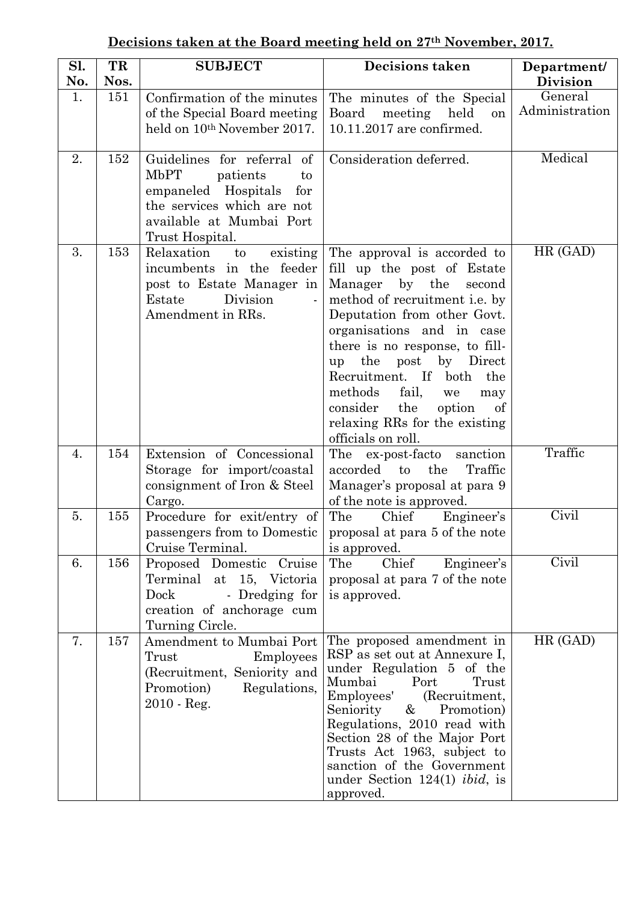|--|

| Sl.<br>No. | TR<br>Nos. | <b>SUBJECT</b>                                                                                                                                                  | <b>Decisions taken</b>                                                                                                                                                                                                                                                                                                                                                                                     | Department/<br><b>Division</b> |
|------------|------------|-----------------------------------------------------------------------------------------------------------------------------------------------------------------|------------------------------------------------------------------------------------------------------------------------------------------------------------------------------------------------------------------------------------------------------------------------------------------------------------------------------------------------------------------------------------------------------------|--------------------------------|
| 1.         | 151        | Confirmation of the minutes<br>of the Special Board meeting<br>held on 10 <sup>th</sup> November 2017.                                                          | The minutes of the Special<br>Board<br>meeting<br>held<br>on<br>10.11.2017 are confirmed.                                                                                                                                                                                                                                                                                                                  | General<br>Administration      |
| 2.         | 152        | Guidelines for referral of<br>MbPT<br>patients<br>to<br>empaneled Hospitals<br>for<br>the services which are not<br>available at Mumbai Port<br>Trust Hospital. | Consideration deferred.                                                                                                                                                                                                                                                                                                                                                                                    | Medical                        |
| 3.         | 153        | Relaxation<br>existing<br>to<br>incumbents in the feeder<br>post to Estate Manager in<br>Division<br>Estate<br>$\blacksquare$<br>Amendment in RRs.              | The approval is accorded to<br>fill up the post of Estate<br>Manager by the<br>second<br>method of recruitment i.e. by<br>Deputation from other Govt.<br>organisations and in case<br>there is no response, to fill-<br>up the post<br>by Direct<br>Recruitment. If both<br>the<br>methods<br>fail,<br>we<br>may<br>consider<br>the<br>option<br>of<br>relaxing RRs for the existing<br>officials on roll. | HR (GAD)                       |
| 4.         | 154        | Extension of Concessional<br>Storage for import/coastal<br>consignment of Iron & Steel<br>Cargo.                                                                | The ex-post-facto<br>sanction<br>accorded to the<br>Traffic<br>Manager's proposal at para 9<br>of the note is approved.                                                                                                                                                                                                                                                                                    | Traffic                        |
| 5.         | 155        | Procedure for exit/entry of<br>Cruise Terminal.                                                                                                                 | The<br>Chief<br>Engineer's<br>passengers from to Domestic   proposal at para 5 of the note<br>is approved.                                                                                                                                                                                                                                                                                                 | Civil                          |
| 6.         | 156        | Proposed Domestic Cruise<br>Terminal at 15, Victoria<br>Dock<br>- Dredging for<br>creation of anchorage cum<br>Turning Circle.                                  | The<br>Chief<br>Engineer's<br>proposal at para 7 of the note<br>is approved.                                                                                                                                                                                                                                                                                                                               | Civil                          |
| 7.         | 157        | Amendment to Mumbai Port<br>Trust<br>Employees<br>(Recruitment, Seniority and<br>Promotion)<br>Regulations,<br>$2010 - Reg.$                                    | The proposed amendment in<br>RSP as set out at Annexure I,<br>under Regulation 5 of the<br>Mumbai<br>Port<br>Trust<br>Employees'<br>(Recruitment,<br>Seniority<br>$\&$<br>Promotion)<br>Regulations, 2010 read with<br>Section 28 of the Major Port<br>Trusts Act 1963, subject to<br>sanction of the Government<br>under Section $124(1)$ <i>ibid</i> , is<br>approved.                                   | HR (GAD)                       |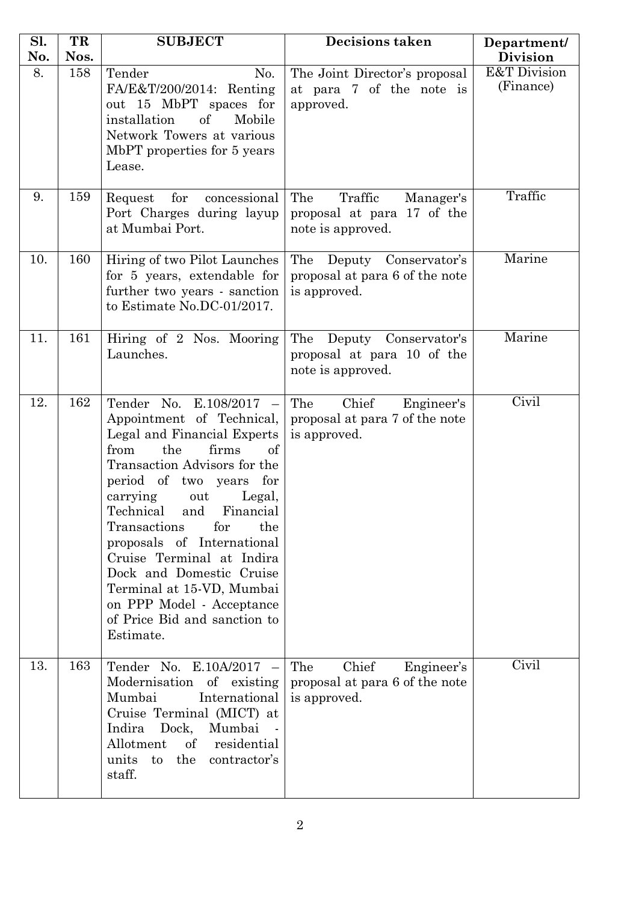| Sl.       | TR          | <b>SUBJECT</b>                                                                                                                                                                                                                                                                                                                                                                                                                                                   | <b>Decisions taken</b>                                                         | Department/                                             |
|-----------|-------------|------------------------------------------------------------------------------------------------------------------------------------------------------------------------------------------------------------------------------------------------------------------------------------------------------------------------------------------------------------------------------------------------------------------------------------------------------------------|--------------------------------------------------------------------------------|---------------------------------------------------------|
| No.<br>8. | Nos.<br>158 | Tender<br>No.<br>FA/E&T/200/2014: Renting<br>out 15 MbPT spaces for<br>installation<br>of<br>Mobile<br>Network Towers at various<br>MbPT properties for 5 years<br>Lease.                                                                                                                                                                                                                                                                                        | The Joint Director's proposal<br>at para 7 of the note is<br>approved.         | <b>Division</b><br><b>E&amp;T</b> Division<br>(Finance) |
| 9.        | 159         | for<br>Request<br>concessional<br>Port Charges during layup<br>at Mumbai Port.                                                                                                                                                                                                                                                                                                                                                                                   | The<br>Traffic<br>Manager's<br>proposal at para 17 of the<br>note is approved. | Traffic                                                 |
| 10.       | 160         | Hiring of two Pilot Launches<br>for 5 years, extendable for<br>further two years - sanction<br>to Estimate No.DC-01/2017.                                                                                                                                                                                                                                                                                                                                        | The Deputy Conservator's<br>proposal at para 6 of the note<br>is approved.     | Marine                                                  |
| 11.       | 161         | Hiring of 2 Nos. Mooring<br>Launches.                                                                                                                                                                                                                                                                                                                                                                                                                            | The Deputy Conservator's<br>proposal at para 10 of the<br>note is approved.    | Marine                                                  |
| 12.       | 162         | Tender No. E.108/2017 -<br>Appointment of Technical,<br>Legal and Financial Experts<br>from<br>the<br>firms<br>of<br>Transaction Advisors for the<br>period of two years for<br>carrying<br>out<br>Legal,<br>Technical and Financial<br>Transactions<br>for<br>the<br>proposals of International<br>Cruise Terminal at Indira<br>Dock and Domestic Cruise<br>Terminal at 15-VD, Mumbai<br>on PPP Model - Acceptance<br>of Price Bid and sanction to<br>Estimate. | Chief<br>The<br>Engineer's<br>proposal at para 7 of the note<br>is approved.   | Civil                                                   |
| 13.       | 163         | Tender No. E.10A/2017 -<br>Modernisation<br>of existing<br>Mumbai<br>International<br>Cruise Terminal (MICT) at<br>Dock, Mumbai<br>Indira<br>Allotment<br>of<br>residential<br>units<br>the<br>contractor's<br>to<br>staff.                                                                                                                                                                                                                                      | The<br>Chief<br>Engineer's<br>proposal at para 6 of the note<br>is approved.   | Civil                                                   |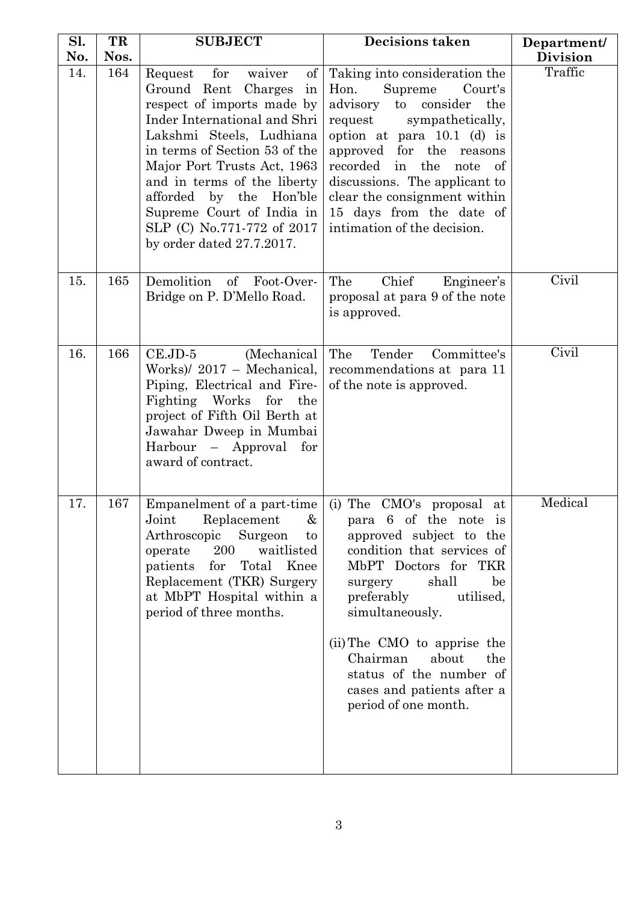| Sl. | TR   | <b>SUBJECT</b>                                                                                                                                                                                                                                                                                                                                                                | <b>Decisions taken</b>                                                                                                                                                                                                                                                                                                                                                                     | Department/     |
|-----|------|-------------------------------------------------------------------------------------------------------------------------------------------------------------------------------------------------------------------------------------------------------------------------------------------------------------------------------------------------------------------------------|--------------------------------------------------------------------------------------------------------------------------------------------------------------------------------------------------------------------------------------------------------------------------------------------------------------------------------------------------------------------------------------------|-----------------|
| No. | Nos. |                                                                                                                                                                                                                                                                                                                                                                               |                                                                                                                                                                                                                                                                                                                                                                                            | <b>Division</b> |
| 14. | 164  | for<br>of<br>Request<br>waiver<br>Ground Rent<br>Charges<br>in<br>respect of imports made by<br>Inder International and Shri<br>Lakshmi Steels, Ludhiana<br>in terms of Section 53 of the<br>Major Port Trusts Act, 1963<br>and in terms of the liberty<br>afforded by the Hon'ble<br>Supreme Court of India in<br>SLP (C) No.771-772 of 2017<br>by order dated $27.7.2017$ . | Taking into consideration the<br>Hon.<br>Supreme<br>Court's<br>advisory<br>to consider<br>the<br>sympathetically,<br>request<br>option at para 10.1 (d) is<br>approved for the reasons<br>recorded in the<br>note of<br>discussions. The applicant to<br>clear the consignment within<br>15 days from the date of<br>intimation of the decision.                                           | Traffic         |
| 15. | 165  | Demolition<br>of Foot-Over-<br>Bridge on P. D'Mello Road.                                                                                                                                                                                                                                                                                                                     | Chief<br>The<br>Engineer's<br>proposal at para 9 of the note<br>is approved.                                                                                                                                                                                                                                                                                                               | Civil           |
| 16. | 166  | $CE.JD-5$<br>(Mechanical)<br>Works)/ 2017 - Mechanical,<br>Piping, Electrical and Fire-<br>Fighting Works<br>for the<br>project of Fifth Oil Berth at<br>Jawahar Dweep in Mumbai<br>Harbour – Approval for<br>award of contract.                                                                                                                                              | The<br>Committee's<br>Tender<br>recommendations at para 11<br>of the note is approved.                                                                                                                                                                                                                                                                                                     | Civil           |
| 17. | 167  | Replacement<br>&<br>Joint<br>Surgeon<br>Arthroscopic<br>to<br>200<br>operate<br>waitlisted<br>patients<br>for<br>Total Knee<br>Replacement (TKR) Surgery<br>at MbPT Hospital within a<br>period of three months.                                                                                                                                                              | Empanelment of a part-time $\vert$ (i) The CMO's proposal at<br>para 6 of the note is<br>approved subject to the<br>condition that services of<br>MbPT Doctors for TKR<br>shall<br>be<br>surgery<br>utilised,<br>preferably<br>simultaneously.<br>(ii) The CMO to apprise the<br>about<br>the<br>Chairman<br>status of the number of<br>cases and patients after a<br>period of one month. | Medical         |